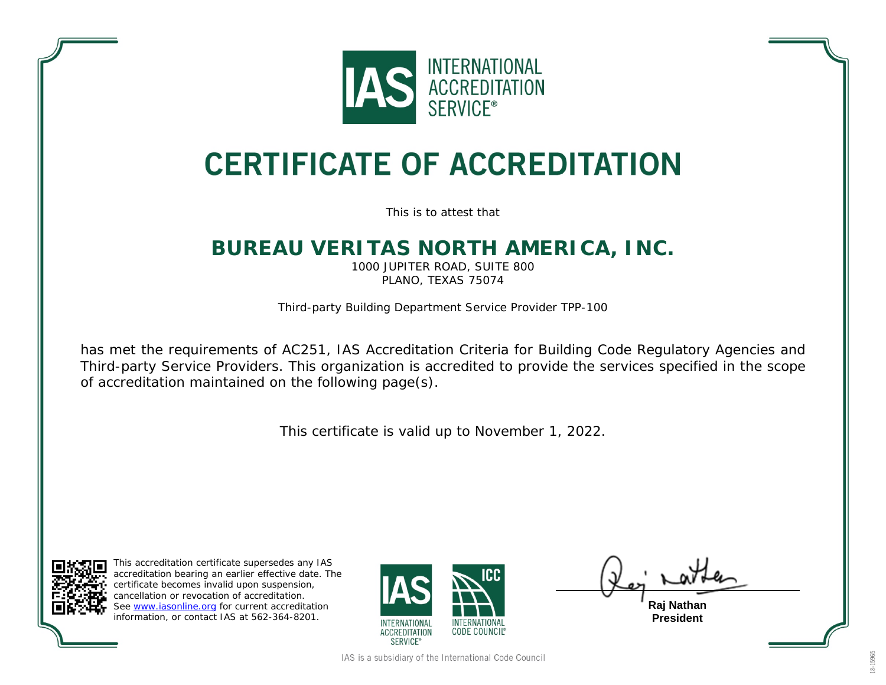

# **CERTIFICATE OF ACCREDITATION**

This is to attest that

#### **BUREAU VERITAS NORTH AMERICA, INC.**

1000 JUPITER ROAD, SUITE 800 PLANO, TEXAS 75074

Third-party Building Department Service Provider TPP-100

has met the requirements of AC251, *IAS Accreditation Criteria for Building Code Regulatory Agencies and Third-party Service Providers*. This organization is accredited to provide the services specified in the scope of accreditation maintained on the following page(s).

This certificate is valid up to November 1, 2022.



This accreditation certificate supersedes any IAS accreditation bearing an earlier effective date. The certificate becomes invalid upon suspension, cancellation or revocation of accreditation. See [www.iasonline.org](http://www.iasonline.org/) for current accreditation information, or contact IAS at 562-364-8201.



**Raj Nathan**

**President**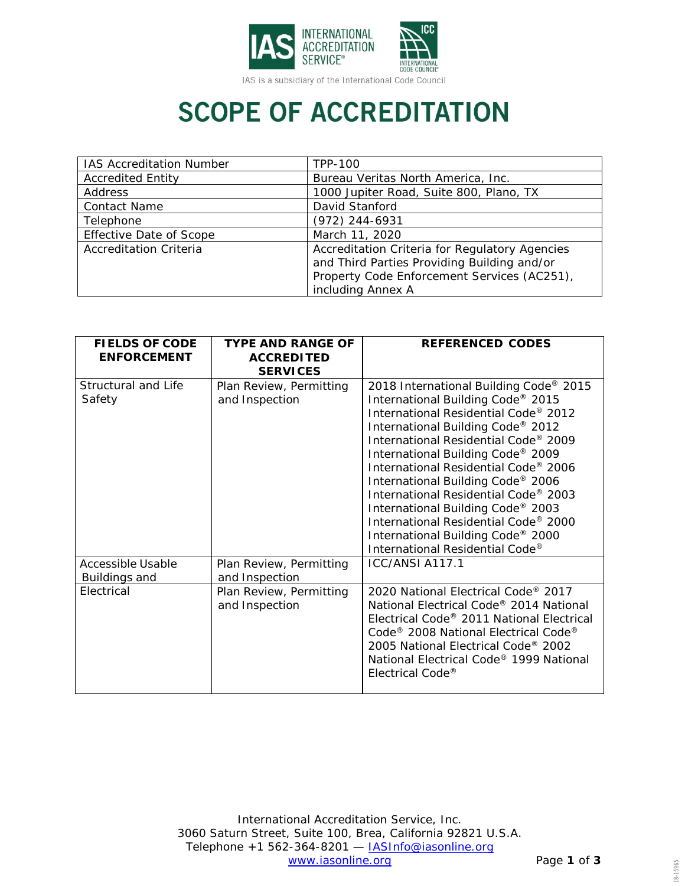

### **SCOPE OF ACCREDITATION**

| <b>IAS Accreditation Number</b> | TPP-100                                                                                                                                                           |  |
|---------------------------------|-------------------------------------------------------------------------------------------------------------------------------------------------------------------|--|
| <b>Accredited Entity</b>        | Bureau Veritas North America, Inc.                                                                                                                                |  |
| Address                         | 1000 Jupiter Road, Suite 800, Plano, TX                                                                                                                           |  |
| <b>Contact Name</b>             | David Stanford                                                                                                                                                    |  |
| Telephone                       | (972) 244-6931                                                                                                                                                    |  |
| <b>Effective Date of Scope</b>  | March 11, 2020                                                                                                                                                    |  |
| <b>Accreditation Criteria</b>   | Accreditation Criteria for Regulatory Agencies<br>and Third Parties Providing Building and/or<br>Property Code Enforcement Services (AC251),<br>including Annex A |  |

| <b>FIELDS OF CODE</b><br><b>ENFORCEMENT</b> | <b>TYPE AND RANGE OF</b><br><b>ACCREDITED</b><br><b>SERVICES</b> | <b>REFERENCED CODES</b>                                                                                                                                                                                                                                                                                                                                                                                                                                                                                                     |
|---------------------------------------------|------------------------------------------------------------------|-----------------------------------------------------------------------------------------------------------------------------------------------------------------------------------------------------------------------------------------------------------------------------------------------------------------------------------------------------------------------------------------------------------------------------------------------------------------------------------------------------------------------------|
| Structural and Life<br>Safety               | Plan Review, Permitting<br>and Inspection                        | 2018 International Building Code <sup>®</sup> 2015<br>International Building Code® 2015<br>International Residential Code® 2012<br>International Building Code® 2012<br>International Residential Code® 2009<br>International Building Code® 2009<br>International Residential Code® 2006<br>International Building Code® 2006<br>International Residential Code® 2003<br>International Building Code® 2003<br>International Residential Code® 2000<br>International Building Code® 2000<br>International Residential Code® |
| Accessible Usable<br>Buildings and          | Plan Review, Permitting<br>and Inspection                        | ICC/ANSI A117.1                                                                                                                                                                                                                                                                                                                                                                                                                                                                                                             |
| Electrical                                  | Plan Review, Permitting<br>and Inspection                        | 2020 National Electrical Code® 2017<br>National Electrical Code® 2014 National<br>Electrical Code® 2011 National Electrical<br>Code <sup>®</sup> 2008 National Electrical Code <sup>®</sup><br>2005 National Electrical Code® 2002<br>National Electrical Code® 1999 National<br>Flectrical Code®                                                                                                                                                                                                                           |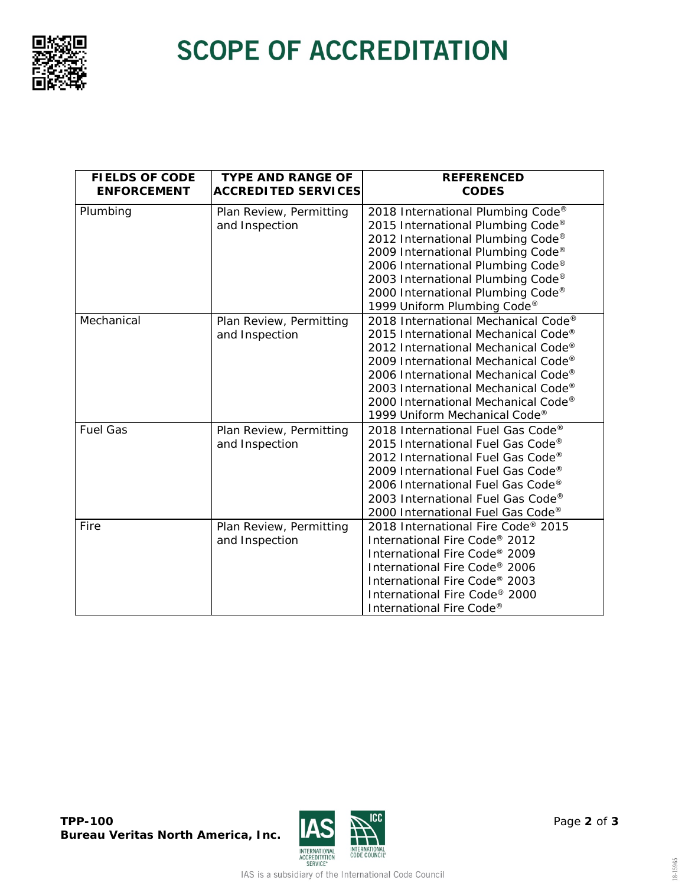

# **SCOPE OF ACCREDITATION**

| <b>FIELDS OF CODE</b><br><b>ENFORCEMENT</b> | <b>TYPE AND RANGE OF</b><br><b>ACCREDITED SERVICES</b> | <b>REFERENCED</b><br><b>CODES</b>                                                                                                                                                                                                                                                                              |
|---------------------------------------------|--------------------------------------------------------|----------------------------------------------------------------------------------------------------------------------------------------------------------------------------------------------------------------------------------------------------------------------------------------------------------------|
| Plumbing                                    | Plan Review, Permitting<br>and Inspection              | 2018 International Plumbing Code®<br>2015 International Plumbing Code®<br>2012 International Plumbing Code®<br>2009 International Plumbing Code®<br>2006 International Plumbing Code®<br>2003 International Plumbing Code®<br>2000 International Plumbing Code®<br>1999 Uniform Plumbing Code®                 |
| Mechanical                                  | Plan Review, Permitting<br>and Inspection              | 2018 International Mechanical Code®<br>2015 International Mechanical Code®<br>2012 International Mechanical Code®<br>2009 International Mechanical Code®<br>2006 International Mechanical Code®<br>2003 International Mechanical Code®<br>2000 International Mechanical Code®<br>1999 Uniform Mechanical Code® |
| <b>Fuel Gas</b>                             | Plan Review, Permitting<br>and Inspection              | 2018 International Fuel Gas Code®<br>2015 International Fuel Gas Code®<br>2012 International Fuel Gas Code®<br>2009 International Fuel Gas Code®<br>2006 International Fuel Gas Code®<br>2003 International Fuel Gas Code®<br>2000 International Fuel Gas Code®                                                |
| Fire                                        | Plan Review, Permitting<br>and Inspection              | 2018 International Fire Code® 2015<br>International Fire Code® 2012<br>International Fire Code® 2009<br>International Fire Code® 2006<br>International Fire Code® 2003<br>International Fire Code® 2000<br>International Fire Code®                                                                            |